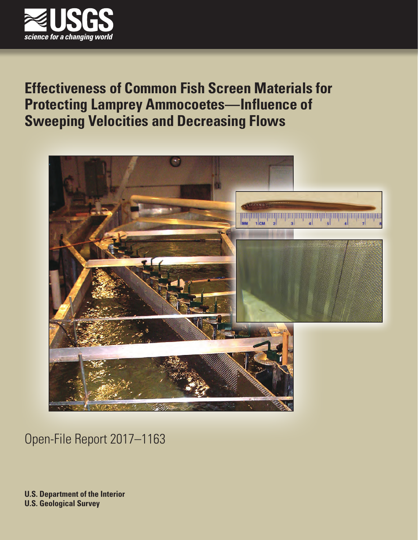

# **Effectiveness of Common Fish Screen Materials for Protecting Lamprey Ammocoetes—Influence of Sweeping Velocities and Decreasing Flows**



Open-File Report 2017–1163

**U.S. Department of the Interior U.S. Geological Survey**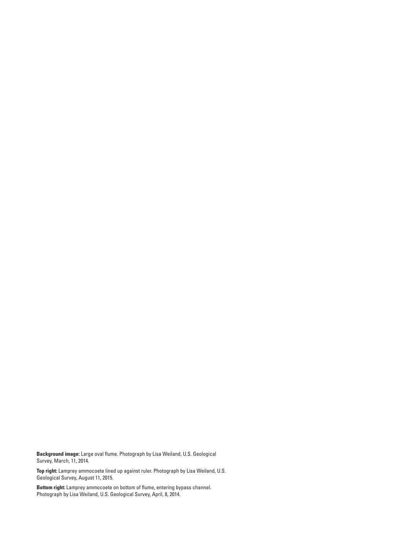**Background image:** Large oval flume. Photograph by Lisa Weiland, U.S. Geological Survey, March, 11, 2014.

**Top right:** Lamprey ammocoete lined up against ruler. Photograph by Lisa Weiland, U.S. Geological Survey, August 11, 2015.

**Bottom right:** Lamprey ammocoete on bottom of flume, entering bypass channel. Photograph by Lisa Weiland, U.S. Geological Survey, April, 8, 2014.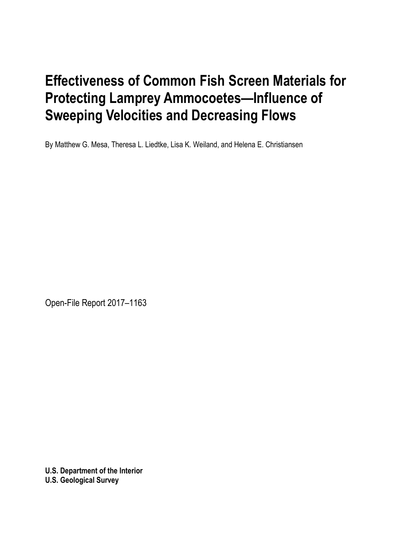# **Effectiveness of Common Fish Screen Materials for Protecting Lamprey Ammocoetes—Influence of Sweeping Velocities and Decreasing Flows**

By Matthew G. Mesa, Theresa L. Liedtke, Lisa K. Weiland, and Helena E. Christiansen

Open-File Report 2017–1163

**U.S. Department of the Interior U.S. Geological Survey**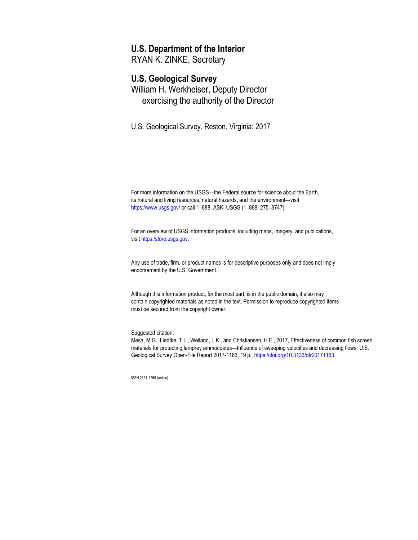#### **U.S. Department of the Interior**

RYAN K. ZINKE, Secretary

#### **U.S. Geological Survey**

William H. Werkheiser, Deputy Director exercising the authority of the Director

U.S. Geological Survey, Reston, Virginia: 2017

For more information on the USGS—the Federal source for science about the Earth, its natural and living resources, natural hazards, and the environment—visit <https://www.usgs.gov/> or call 1–888–ASK–USGS (1–888–275–8747).

For an overview of USGS information products, including maps, imagery, and publications, visi[t https:/store.usgs.gov.](http://www.usgs.gov/pubprod)

Any use of trade, firm, or product names is for descriptive purposes only and does not imply endorsement by the U.S. Government.

Although this information product, for the most part, is in the public domain, it also may contain copyrighted materials as noted in the text. Permission to reproduce copyrighted items must be secured from the copyright owner.

Suggested citation:

Mesa, M.G., Liedtke, T.L., Weiland, L.K., and Christiansen, H.E., 2017, Effectiveness of common fish screen materials for protecting lamprey ammocoetes—Influence of sweeping velocities and decreasing flows: U.S. Geological Survey Open-File Report 2017-1163, 19 p., https://doi.org/10.3133/ofr20171163.

ISSN 2331-1258 (online)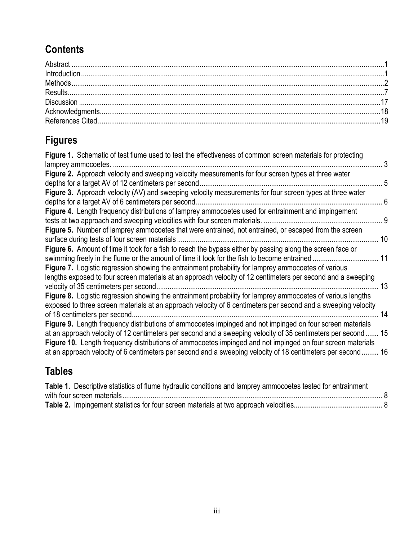## **Contents**

## **Figures**

| Figure 1. Schematic of test flume used to test the effectiveness of common screen materials for protecting<br>lamprey ammocoetes. |    |
|-----------------------------------------------------------------------------------------------------------------------------------|----|
| Figure 2. Approach velocity and sweeping velocity measurements for four screen types at three water                               |    |
|                                                                                                                                   |    |
| Figure 3. Approach velocity (AV) and sweeping velocity measurements for four screen types at three water                          |    |
| depths for a target AV of 6 centimeters per second.                                                                               | 6  |
| Figure 4. Length frequency distributions of lamprey ammocoetes used for entrainment and impingement                               |    |
|                                                                                                                                   | 9  |
| Figure 5. Number of lamprey ammocoetes that were entrained, not entrained, or escaped from the screen                             |    |
| surface during tests of four screen materials.                                                                                    | 10 |
| Figure 6. Amount of time it took for a fish to reach the bypass either by passing along the screen face or                        |    |
| swimming freely in the flume or the amount of time it took for the fish to become entrained                                       | 11 |
| Figure 7. Logistic regression showing the entrainment probability for lamprey ammocoetes of various                               |    |
| lengths exposed to four screen materials at an approach velocity of 12 centimeters per second and a sweeping                      |    |
| velocity of 35 centimeters per second                                                                                             | 13 |
| Figure 8. Logistic regression showing the entrainment probability for lamprey ammocoetes of various lengths                       |    |
| exposed to three screen materials at an approach velocity of 6 centimeters per second and a sweeping velocity                     |    |
| of 18 centimeters per second.                                                                                                     | 14 |
| Figure 9. Length frequency distributions of ammocoetes impinged and not impinged on four screen materials                         |    |
| at an approach velocity of 12 centimeters per second and a sweeping velocity of 35 centimeters per second  15                     |    |
| Figure 10. Length frequency distributions of ammocoetes impinged and not impinged on four screen materials                        |    |
| at an approach velocity of 6 centimeters per second and a sweeping velocity of 18 centimeters per second 16                       |    |
|                                                                                                                                   |    |

### **Tables**

| Table 1. Descriptive statistics of flume hydraulic conditions and lamprey ammocoetes tested for entrainment |  |
|-------------------------------------------------------------------------------------------------------------|--|
|                                                                                                             |  |
|                                                                                                             |  |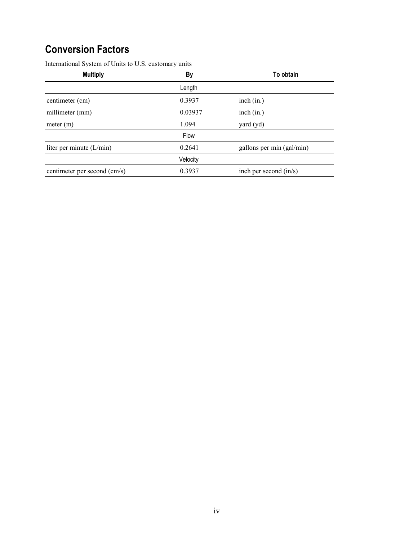### **Conversion Factors**

| <b>Multiply</b>              | By       | To obtain                 |
|------------------------------|----------|---------------------------|
|                              | Length   |                           |
| centimeter (cm)              | 0.3937   | inch (in.)                |
| millimeter (mm)              | 0.03937  | inch (in.)                |
| meter (m)                    | 1.094    | yard (yd)                 |
|                              | Flow     |                           |
| liter per minute $(L/min)$   | 0.2641   | gallons per min (gal/min) |
|                              | Velocity |                           |
| centimeter per second (cm/s) | 0.3937   | inch per second $(in/s)$  |

International System of Units to U.S. customary units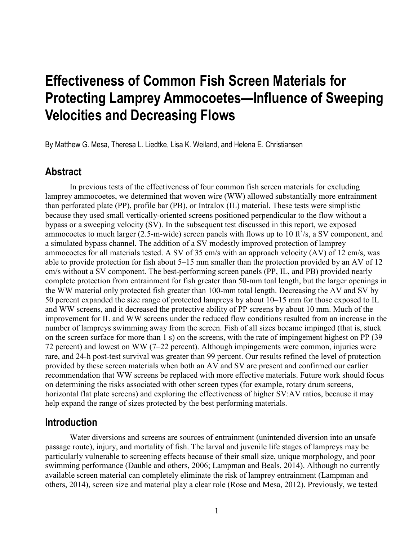# **Effectiveness of Common Fish Screen Materials for Protecting Lamprey Ammocoetes—Influence of Sweeping Velocities and Decreasing Flows**

By Matthew G. Mesa, Theresa L. Liedtke, Lisa K. Weiland, and Helena E. Christiansen

#### **Abstract**

In previous tests of the effectiveness of four common fish screen materials for excluding lamprey ammocoetes, we determined that woven wire (WW) allowed substantially more entrainment than perforated plate (PP), profile bar (PB), or Intralox (IL) material. These tests were simplistic because they used small vertically-oriented screens positioned perpendicular to the flow without a bypass or a sweeping velocity (SV). In the subsequent test discussed in this report, we exposed ammocoetes to much larger  $(2.5-m$ -wide) screen panels with flows up to 10 ft $\frac{3}{s}$ , a SV component, and a simulated bypass channel. The addition of a SV modestly improved protection of lamprey ammocoetes for all materials tested. A SV of 35 cm/s with an approach velocity (AV) of 12 cm/s, was able to provide protection for fish about 5–15 mm smaller than the protection provided by an AV of 12 cm/s without a SV component. The best-performing screen panels (PP, IL, and PB) provided nearly complete protection from entrainment for fish greater than 50-mm toal length, but the larger openings in the WW material only protected fish greater than 100-mm total length. Decreasing the AV and SV by 50 percent expanded the size range of protected lampreys by about 10–15 mm for those exposed to IL and WW screens, and it decreased the protective ability of PP screens by about 10 mm. Much of the improvement for IL and WW screens under the reduced flow conditions resulted from an increase in the number of lampreys swimming away from the screen. Fish of all sizes became impinged (that is, stuck on the screen surface for more than 1 s) on the screens, with the rate of impingement highest on PP (39– 72 percent) and lowest on WW (7–22 percent). Although impingements were common, injuries were rare, and 24-h post-test survival was greater than 99 percent. Our results refined the level of protection provided by these screen materials when both an AV and SV are present and confirmed our earlier recommendation that WW screens be replaced with more effective materials. Future work should focus on determining the risks associated with other screen types (for example, rotary drum screens, horizontal flat plate screens) and exploring the effectiveness of higher SV:AV ratios, because it may help expand the range of sizes protected by the best performing materials.

#### **Introduction**

Water diversions and screens are sources of entrainment (unintended diversion into an unsafe passage route), injury, and mortality of fish. The larval and juvenile life stages of lampreys may be particularly vulnerable to screening effects because of their small size, unique morphology, and poor swimming performance (Dauble and others, 2006; Lampman and Beals, 2014). Although no currently available screen material can completely eliminate the risk of lamprey entrainment (Lampman and others, 2014), screen size and material play a clear role (Rose and Mesa, 2012). Previously, we tested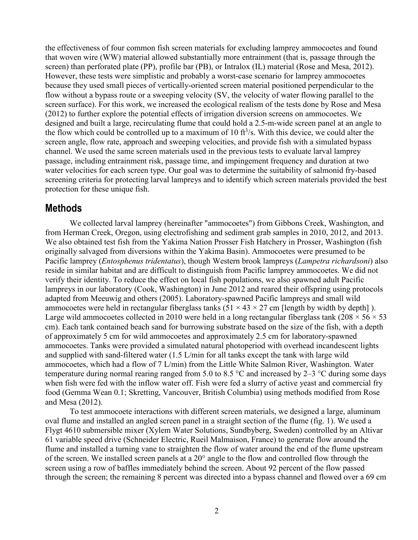the effectiveness of four common fish screen materials for excluding lamprey ammocoetes and found that woven wire (WW) material allowed substantially more entrainment (that is, passage through the screen) than perforated plate (PP), profile bar (PB), or Intralox (IL) material (Rose and Mesa, 2012). However, these tests were simplistic and probably a worst-case scenario for lamprey ammocoetes because they used small pieces of vertically-oriented screen material positioned perpendicular to the flow without a bypass route or a sweeping velocity (SV, the velocity of water flowing parallel to the screen surface). For this work, we increased the ecological realism of the tests done by Rose and Mesa (2012) to further explore the potential effects of irrigation diversion screens on ammocoetes. We designed and built a large, recirculating flume that could hold a 2.5-m-wide screen panel at an angle to the flow which could be controlled up to a maximum of 10  $ft^3/s$ . With this device, we could alter the screen angle, flow rate, approach and sweeping velocities, and provide fish with a simulated bypass channel. We used the same screen materials used in the previous tests to evaluate larval lamprey passage, including entrainment risk, passage time, and impingement frequency and duration at two water velocities for each screen type. Our goal was to determine the suitability of salmonid fry-based screening criteria for protecting larval lampreys and to identify which screen materials provided the best protection for these unique fish.

#### **Methods**

We collected larval lamprey (hereinafter "ammocoetes") from Gibbons Creek, Washington, and from Herman Creek, Oregon, using electrofishing and sediment grab samples in 2010, 2012, and 2013. We also obtained test fish from the Yakima Nation Prosser Fish Hatchery in Prosser, Washington (fish originally salvaged from diversions within the Yakima Basin). Ammocoetes were presumed to be Pacific lamprey (*Entosphenus tridentatus*), though Western brook lampreys (*Lampetra richardsoni*) also reside in similar habitat and are difficult to distinguish from Pacific lamprey ammocoetes. We did not verify their identity. To reduce the effect on local fish populations, we also spawned adult Pacific lampreys in our laboratory (Cook, Washington) in June 2012 and reared their offspring using protocols adapted from Meeuwig and others (2005). Laboratory-spawned Pacific lampreys and small wild ammocoetes were held in rectangular fiberglass tanks  $(51 \times 43 \times 27 \text{ cm})$  [length by width by depth]). Large wild ammocoetes collected in 2010 were held in a long rectangular fiberglass tank (208  $\times$  56  $\times$  53 cm). Each tank contained beach sand for burrowing substrate based on the size of the fish, with a depth of approximately 5 cm for wild ammocoetes and approximately 2.5 cm for laboratory-spawned ammocoetes. Tanks were provided a simulated natural photoperiod with overhead incandescent lights and supplied with sand-filtered water (1.5 L/min for all tanks except the tank with large wild ammocoetes, which had a flow of 7 L/min) from the Little White Salmon River, Washington. Water temperature during normal rearing ranged from 5.0 to 8.5 °C and increased by 2–3 °C during some days when fish were fed with the inflow water off. Fish were fed a slurry of active yeast and commercial fry food (Gemma Wean 0.1; Skretting, Vancouver, British Columbia) using methods modified from Rose and Mesa (2012).

To test ammocoete interactions with different screen materials, we designed a large, aluminum oval flume and installed an angled screen panel in a straight section of the flume (fig. 1). We used a Flygt 4610 submersible mixer (Xylem Water Solutions, Sundbyberg, Sweden) controlled by an Altivar 61 variable speed drive (Schneider Electric, Rueil Malmaison, France) to generate flow around the flume and installed a turning vane to straighten the flow of water around the end of the flume upstream of the screen. We installed screen panels at a 20° angle to the flow and controlled flow through the screen using a row of baffles immediately behind the screen. About 92 percent of the flow passed through the screen; the remaining 8 percent was directed into a bypass channel and flowed over a 69 cm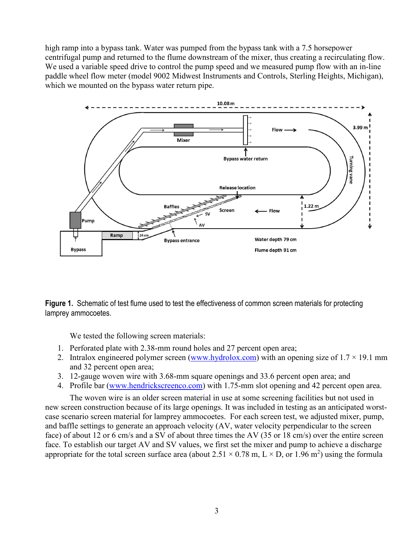high ramp into a bypass tank. Water was pumped from the bypass tank with a 7.5 horsepower centrifugal pump and returned to the flume downstream of the mixer, thus creating a recirculating flow. We used a variable speed drive to control the pump speed and we measured pump flow with an in-line paddle wheel flow meter (model 9002 Midwest Instruments and Controls, Sterling Heights, Michigan), which we mounted on the bypass water return pipe.



**Figure 1.** Schematic of test flume used to test the effectiveness of common screen materials for protecting lamprey ammocoetes.

We tested the following screen materials:

- 1. Perforated plate with 2.38-mm round holes and 27 percent open area;
- 2. Intralox engineered polymer screen [\(www.hydrolox.com\)](http://www.hydrolox.com/) with an opening size of  $1.7 \times 19.1$  mm and 32 percent open area;
- 3. 12-gauge woven wire with 3.68-mm square openings and 33.6 percent open area; and
- 4. Profile bar [\(www.hendrickscreenco.com\)](http://www.hendrickscreenco.com/) with 1.75-mm slot opening and 42 percent open area.

The woven wire is an older screen material in use at some screening facilities but not used in new screen construction because of its large openings. It was included in testing as an anticipated worstcase scenario screen material for lamprey ammocoetes. For each screen test, we adjusted mixer, pump, and baffle settings to generate an approach velocity (AV, water velocity perpendicular to the screen face) of about 12 or 6 cm/s and a SV of about three times the AV (35 or 18 cm/s) over the entire screen face. To establish our target AV and SV values, we first set the mixer and pump to achieve a discharge appropriate for the total screen surface area (about  $2.51 \times 0.78$  m, L  $\times$  D, or 1.96 m<sup>2</sup>) using the formula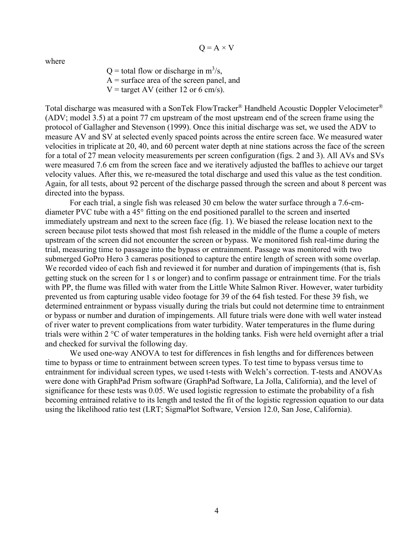$Q = A \times V$ 

where

 $Q =$  total flow or discharge in  $m^3/s$ , A = surface area of the screen panel, and  $V = \text{target AV}$  (either 12 or 6 cm/s).

Total discharge was measured with a SonTek FlowTracker® Handheld Acoustic Doppler Velocimeter® (ADV; model 3.5) at a point 77 cm upstream of the most upstream end of the screen frame using the protocol of Gallagher and Stevenson (1999). Once this initial discharge was set, we used the ADV to measure AV and SV at selected evenly spaced points across the entire screen face. We measured water velocities in triplicate at 20, 40, and 60 percent water depth at nine stations across the face of the screen for a total of 27 mean velocity measurements per screen configuration (figs. 2 and 3). All AVs and SVs were measured 7.6 cm from the screen face and we iteratively adjusted the baffles to achieve our target velocity values. After this, we re-measured the total discharge and used this value as the test condition. Again, for all tests, about 92 percent of the discharge passed through the screen and about 8 percent was directed into the bypass.

For each trial, a single fish was released 30 cm below the water surface through a 7.6-cmdiameter PVC tube with a 45° fitting on the end positioned parallel to the screen and inserted immediately upstream and next to the screen face (fig. 1). We biased the release location next to the screen because pilot tests showed that most fish released in the middle of the flume a couple of meters upstream of the screen did not encounter the screen or bypass. We monitored fish real-time during the trial, measuring time to passage into the bypass or entrainment. Passage was monitored with two submerged GoPro Hero 3 cameras positioned to capture the entire length of screen with some overlap. We recorded video of each fish and reviewed it for number and duration of impingements (that is, fish getting stuck on the screen for 1 s or longer) and to confirm passage or entrainment time. For the trials with PP, the flume was filled with water from the Little White Salmon River. However, water turbidity prevented us from capturing usable video footage for 39 of the 64 fish tested. For these 39 fish, we determined entrainment or bypass visually during the trials but could not determine time to entrainment or bypass or number and duration of impingements. All future trials were done with well water instead of river water to prevent complications from water turbidity. Water temperatures in the flume during trials were within 2 °C of water temperatures in the holding tanks. Fish were held overnight after a trial and checked for survival the following day.

We used one-way ANOVA to test for differences in fish lengths and for differences between time to bypass or time to entrainment between screen types. To test time to bypass versus time to entrainment for individual screen types, we used t-tests with Welch's correction. T-tests and ANOVAs were done with GraphPad Prism software (GraphPad Software, La Jolla, California), and the level of significance for these tests was 0.05. We used logistic regression to estimate the probability of a fish becoming entrained relative to its length and tested the fit of the logistic regression equation to our data using the likelihood ratio test (LRT; SigmaPlot Software, Version 12.0, San Jose, California).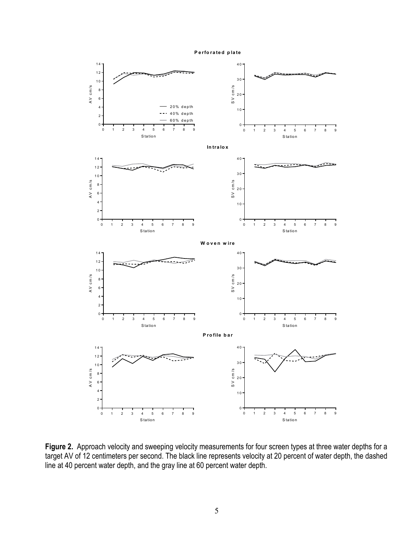



**Figure 2.** Approach velocity and sweeping velocity measurements for four screen types at three water depths for a target AV of 12 centimeters per second. The black line represents velocity at 20 percent of water depth, the dashed line at 40 percent water depth, and the gray line at 60 percent water depth.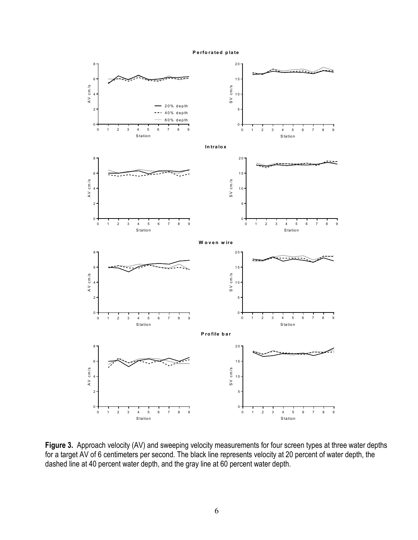#### **Perforated plate**



Figure 3. Approach velocity (AV) and sweeping velocity measurements for four screen types at three water depths for a target AV of 6 centimeters per second. The black line represents velocity at 20 percent of water depth, the dashed line at 40 percent water depth, and the gray line at 60 percent water depth.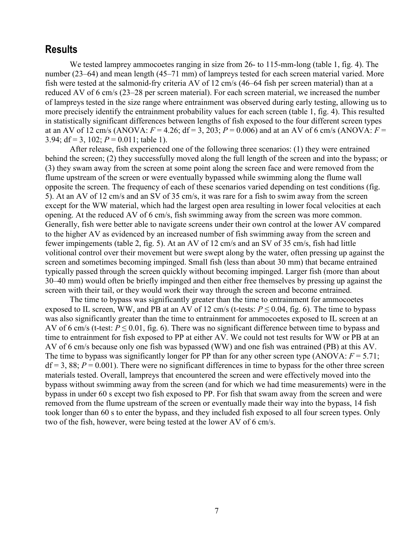#### **Results**

We tested lamprey ammocoetes ranging in size from 26- to 115-mm-long (table 1, fig. 4). The number (23–64) and mean length (45–71 mm) of lampreys tested for each screen material varied. More fish were tested at the salmonid-fry criteria AV of 12 cm/s (46–64 fish per screen material) than at a reduced AV of 6 cm/s (23–28 per screen material). For each screen material, we increased the number of lampreys tested in the size range where entrainment was observed during early testing, allowing us to more precisely identify the entrainment probability values for each screen (table 1, fig. 4). This resulted in statistically significant differences between lengths of fish exposed to the four different screen types at an AV of 12 cm/s (ANOVA:  $F = 4.26$ ; df = 3, 203;  $P = 0.006$ ) and at an AV of 6 cm/s (ANOVA:  $F =$ 3.94;  $df = 3$ , 102;  $P = 0.011$ ; table 1).

After release, fish experienced one of the following three scenarios: (1) they were entrained behind the screen; (2) they successfully moved along the full length of the screen and into the bypass; or (3) they swam away from the screen at some point along the screen face and were removed from the flume upstream of the screen or were eventually bypassed while swimming along the flume wall opposite the screen. The frequency of each of these scenarios varied depending on test conditions (fig. 5). At an AV of 12 cm/s and an SV of 35 cm/s, it was rare for a fish to swim away from the screen except for the WW material, which had the largest open area resulting in lower focal velocities at each opening. At the reduced AV of 6 cm/s, fish swimming away from the screen was more common. Generally, fish were better able to navigate screens under their own control at the lower AV compared to the higher AV as evidenced by an increased number of fish swimming away from the screen and fewer impingements (table 2, fig. 5). At an AV of 12 cm/s and an SV of 35 cm/s, fish had little volitional control over their movement but were swept along by the water, often pressing up against the screen and sometimes becoming impinged. Small fish (less than about 30 mm) that became entrained typically passed through the screen quickly without becoming impinged. Larger fish (more than about 30–40 mm) would often be briefly impinged and then either free themselves by pressing up against the screen with their tail, or they would work their way through the screen and become entrained.

The time to bypass was significantly greater than the time to entrainment for ammocoetes exposed to IL screen, WW, and PB at an AV of 12 cm/s (t-tests:  $P \le 0.04$ , fig. 6). The time to bypass was also significantly greater than the time to entrainment for ammocoetes exposed to IL screen at an AV of 6 cm/s (t-test:  $P \le 0.01$ , fig. 6). There was no significant difference between time to bypass and time to entrainment for fish exposed to PP at either AV. We could not test results for WW or PB at an AV of 6 cm/s because only one fish was bypassed (WW) and one fish was entrained (PB) at this AV. The time to bypass was significantly longer for PP than for any other screen type  $(ANOVA: F = 5.71;$  $df = 3$ , 88;  $P = 0.001$ ). There were no significant differences in time to bypass for the other three screen materials tested. Overall, lampreys that encountered the screen and were effectively moved into the bypass without swimming away from the screen (and for which we had time measurements) were in the bypass in under 60 s except two fish exposed to PP. For fish that swam away from the screen and were removed from the flume upstream of the screen or eventually made their way into the bypass, 14 fish took longer than 60 s to enter the bypass, and they included fish exposed to all four screen types. Only two of the fish, however, were being tested at the lower AV of 6 cm/s.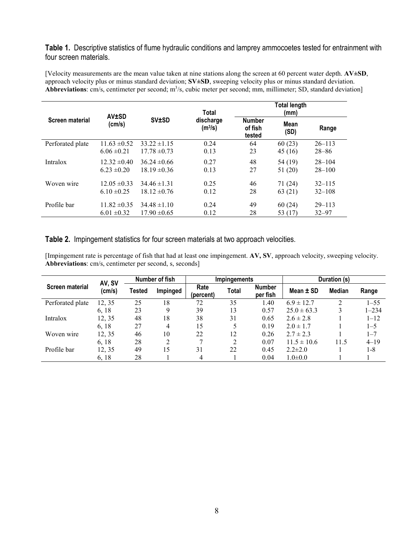**Table 1.** Descriptive statistics of flume hydraulic conditions and lamprey ammocoetes tested for entrainment with four screen materials.

[Velocity measurements are the mean value taken at nine stations along the screen at 60 percent water depth. **AV±SD**, approach velocity plus or minus standard deviation; **SV±SD**, sweeping velocity plus or minus standard deviation. Abbreviations: cm/s, centimeter per second; m<sup>3</sup>/s, cubic meter per second; mm, millimeter; SD, standard deviation]

|                  | <b>AV±SD</b>     |                  | <b>Total</b>                     |                                    | <b>Total length</b> |            |
|------------------|------------------|------------------|----------------------------------|------------------------------------|---------------------|------------|
| Screen material  | (cm/s)           | <b>SV±SD</b>     | discharge<br>(m <sup>3</sup> /s) | <b>Number</b><br>of fish<br>tested | Mean<br>(SD)        | Range      |
| Perforated plate | $11.63 \pm 0.52$ | $33.22 \pm 1.15$ | 0.24                             | 64                                 | 60(23)              | $26 - 113$ |
|                  | $6.06 \pm 0.21$  | $17.78 \pm 0.73$ | 0.13                             | 23                                 | 45 (16)             | $28 - 86$  |
| Intralox         | $12.32 \pm 0.40$ | $36.24 \pm 0.66$ | 0.27                             | 48                                 | 54 (19)             | $28 - 104$ |
|                  | $6.23 \pm 0.20$  | $18.19 \pm 0.36$ | 0.13                             | 27                                 | 51 (20)             | $28 - 100$ |
| Woven wire       | $12.05 \pm 0.33$ | $34.46 \pm 1.31$ | 0.25                             | 46                                 | 71 (24)             | $32 - 115$ |
|                  | $6.10 \pm 0.25$  | $18.12 \pm 0.76$ | 0.12                             | 28                                 | 63(21)              | $32 - 108$ |
| Profile bar      | $11.82 \pm 0.35$ | $34.48 \pm 1.10$ | 0.24                             | 49                                 | 60(24)              | $29 - 113$ |
|                  | $6.01 \pm 0.32$  | $17.90 \pm 0.65$ | 0.12                             | 28                                 | 53 (17)             | $32 - 97$  |

#### **Table 2.** Impingement statistics for four screen materials at two approach velocities.

l,

[Impingement rate is percentage of fish that had at least one impingement. **AV, SV**, approach velocity, sweeping velocity. **Abbreviations**: cm/s, centimeter per second, s, seconds]

|                        | AV, SV<br>(cm/s) | Number of fish |          | Impingements      |       |                           | Duration (s)    |               |           |
|------------------------|------------------|----------------|----------|-------------------|-------|---------------------------|-----------------|---------------|-----------|
| <b>Screen material</b> |                  | Tested         | Impinged | Rate<br>(percent) | Total | <b>Number</b><br>per fish | Mean $\pm$ SD   | <b>Median</b> | Range     |
| Perforated plate       | 12, 35           | 25             | 18       | 72                | 35    | 1.40                      | $6.9 \pm 12.7$  |               | $1 - 55$  |
|                        | 6, 18            | 23             | Q        | 39                | 13    | 0.57                      | $25.0 \pm 63.3$ |               | $1 - 234$ |
| Intralox               | 12, 35           | 48             | 18       | 38                | 31    | 0.65                      | $2.6 \pm 2.8$   |               | $1 - 12$  |
|                        | 6, 18            | 27             | 4        | 15                | 5     | 0.19                      | $2.0 \pm 1.7$   |               | $1 - 5$   |
| Woven wire             | 12, 35           | 46             | 10       | 22                | 12    | 0.26                      | $2.7 \pm 2.3$   |               | $1 - 7$   |
|                        | 6, 18            | 28             | 2        | 7                 | 2     | 0.07                      | $11.5 \pm 10.6$ | 11.5          | $4 - 19$  |
| Profile bar            | 12, 35           | 49             | 15       | 31                | 22    | 0.45                      | $2.2 \pm 2.0$   |               | 1-8       |
|                        | 6, 18            | 28             |          | 4                 |       | 0.04                      | $1.0 \pm 0.0$   |               |           |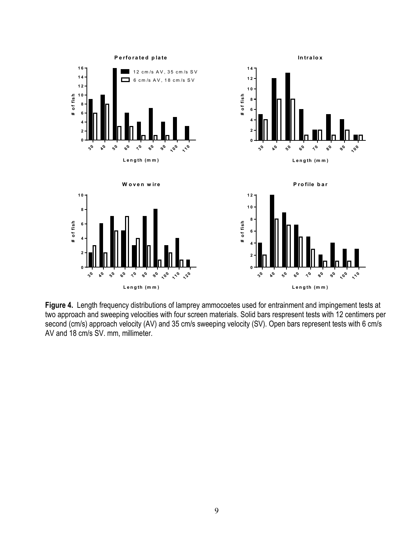

**Figure 4.** Length frequency distributions of lamprey ammocoetes used for entrainment and impingement tests at two approach and sweeping velocities with four screen materials. Solid bars respresent tests with 12 centimers per second (cm/s) approach velocity (AV) and 35 cm/s sweeping velocity (SV). Open bars represent tests with 6 cm/s AV and 18 cm/s SV. mm, millimeter.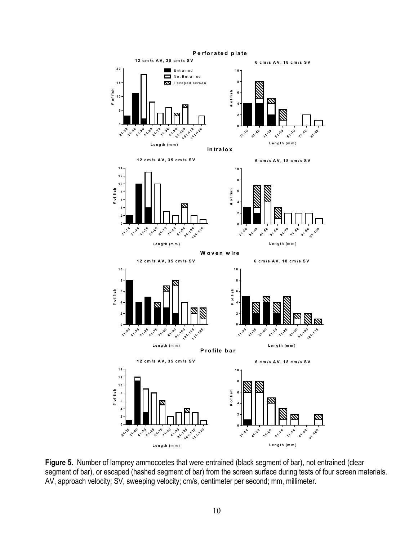

Figure 5. Number of lamprey ammocoetes that were entrained (black segment of bar), not entrained (clear segment of bar), or escaped (hashed segment of bar) from the screen surface during tests of four screen materials. AV, approach velocity; SV, sweeping velocity; cm/s, centimeter per second; mm, millimeter.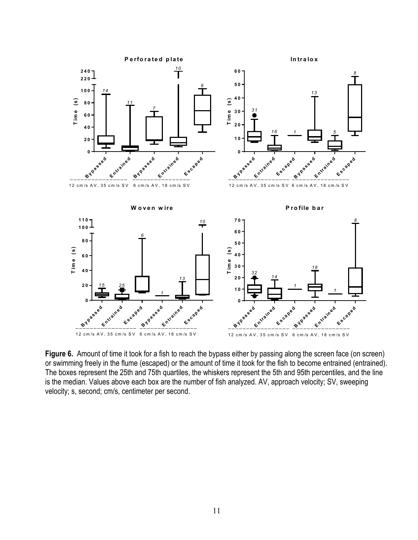

**Figure 6.** Amount of time it took for a fish to reach the bypass either by passing along the screen face (on screen) or swimming freely in the flume (escaped) or the amount of time it took for the fish to become entrained (entrained). The boxes represent the 25th and 75th quartiles, the whiskers represent the 5th and 95th percentiles, and the line is the median. Values above each box are the number of fish analyzed. AV, approach velocity; SV, sweeping velocity; s, second; cm/s, centimeter per second.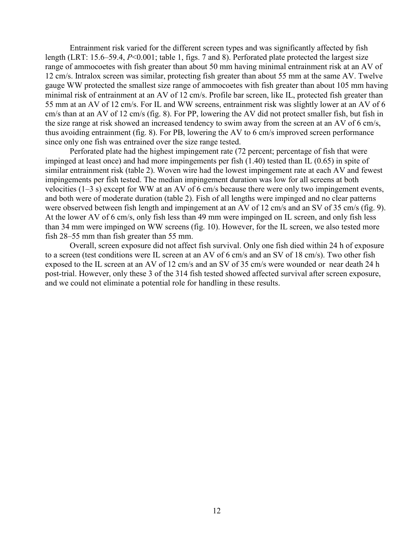Entrainment risk varied for the different screen types and was significantly affected by fish length (LRT: 15.6–59.4, *P*<0.001; table 1, figs. 7 and 8). Perforated plate protected the largest size range of ammocoetes with fish greater than about 50 mm having minimal entrainment risk at an AV of 12 cm/s. Intralox screen was similar, protecting fish greater than about 55 mm at the same AV. Twelve gauge WW protected the smallest size range of ammocoetes with fish greater than about 105 mm having minimal risk of entrainment at an AV of 12 cm/s. Profile bar screen, like IL, protected fish greater than 55 mm at an AV of 12 cm/s. For IL and WW screens, entrainment risk was slightly lower at an AV of 6 cm/s than at an AV of 12 cm/s (fig. 8). For PP, lowering the AV did not protect smaller fish, but fish in the size range at risk showed an increased tendency to swim away from the screen at an AV of 6 cm/s, thus avoiding entrainment (fig. 8). For PB, lowering the AV to 6 cm/s improved screen performance since only one fish was entrained over the size range tested.

Perforated plate had the highest impingement rate (72 percent; percentage of fish that were impinged at least once) and had more impingements per fish (1.40) tested than IL (0.65) in spite of similar entrainment risk (table 2). Woven wire had the lowest impingement rate at each AV and fewest impingements per fish tested. The median impingement duration was low for all screens at both velocities (1–3 s) except for WW at an AV of 6 cm/s because there were only two impingement events, and both were of moderate duration (table 2). Fish of all lengths were impinged and no clear patterns were observed between fish length and impingement at an AV of 12 cm/s and an SV of 35 cm/s (fig. 9). At the lower AV of 6 cm/s, only fish less than 49 mm were impinged on IL screen, and only fish less than 34 mm were impinged on WW screens (fig. 10). However, for the IL screen, we also tested more fish 28–55 mm than fish greater than 55 mm.

Overall, screen exposure did not affect fish survival. Only one fish died within 24 h of exposure to a screen (test conditions were IL screen at an AV of 6 cm/s and an SV of 18 cm/s). Two other fish exposed to the IL screen at an AV of 12 cm/s and an SV of 35 cm/s were wounded or near death 24 h post-trial. However, only these 3 of the 314 fish tested showed affected survival after screen exposure, and we could not eliminate a potential role for handling in these results.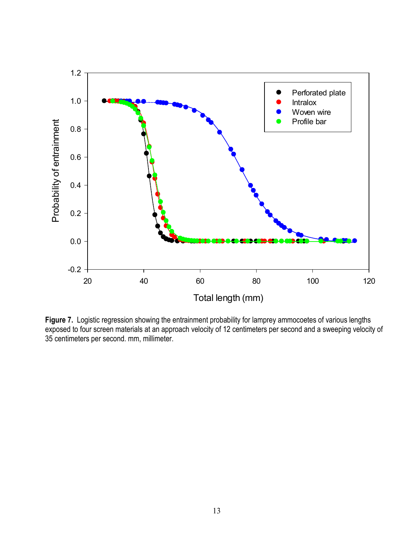

**Figure 7.** Logistic regression showing the entrainment probability for lamprey ammocoetes of various lengths exposed to four screen materials at an approach velocity of 12 centimeters per second and a sweeping velocity of 35 centimeters per second. mm, millimeter.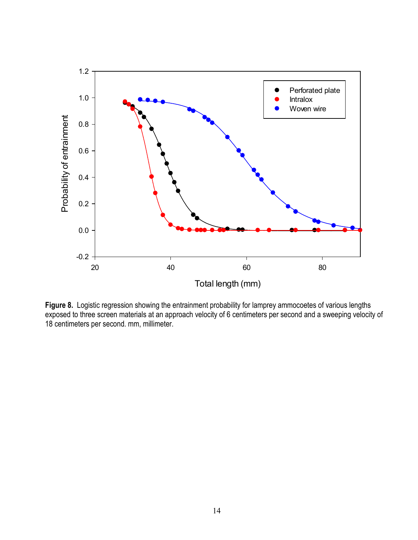

**Figure 8.** Logistic regression showing the entrainment probability for lamprey ammocoetes of various lengths exposed to three screen materials at an approach velocity of 6 centimeters per second and a sweeping velocity of 18 centimeters per second. mm, millimeter.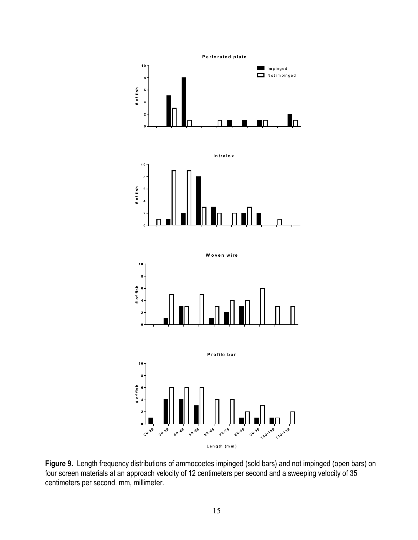

**Intralox**



**W oven w ire**



**P rofile bar**



**Figure 9.** Length frequency distributions of ammocoetes impinged (sold bars) and not impinged (open bars) on four screen materials at an approach velocity of 12 centimeters per second and a sweeping velocity of 35 centimeters per second. mm, millimeter.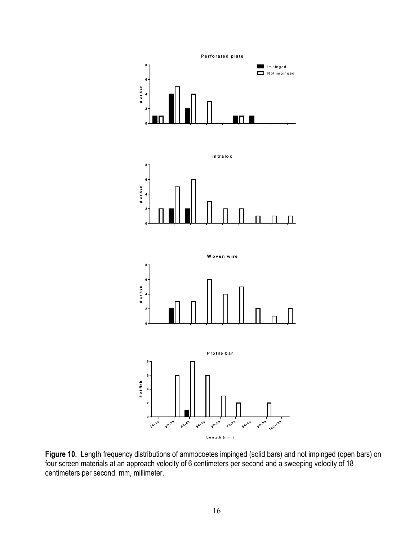

**Figure 10.** Length frequency distributions of ammocoetes impinged (solid bars) and not impinged (open bars) on four screen materials at an approach velocity of 6 centimeters per second and a sweeping velocity of 18 centimeters per second. mm, millimeter.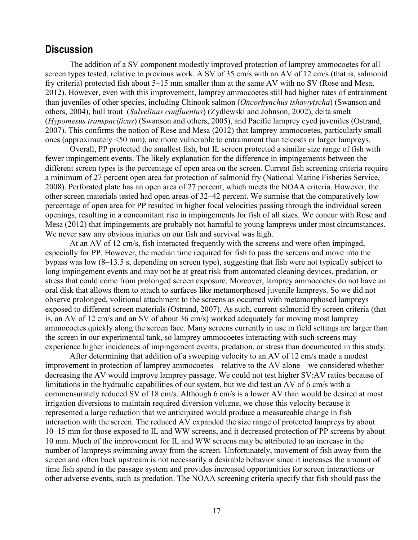### **Discussion**

The addition of a SV component modestly improved protection of lamprey ammocoetes for all screen types tested, relative to previous work. A SV of 35 cm/s with an AV of 12 cm/s (that is, salmonid fry criteria) protected fish about 5–15 mm smaller than at the same AV with no SV (Rose and Mesa, 2012). However, even with this improvement, lamprey ammocoetes still had higher rates of entrainment than juveniles of other species, including Chinook salmon (*Oncorhynchus tshawytscha*) (Swanson and others, 2004), bull trout (*Salvelinus confluentus*) (Zydlewski and Johnson, 2002), delta smelt (*Hypomesus transpacificus*) (Swanson and others, 2005), and Pacific lamprey eyed juveniles (Ostrand, 2007). This confirms the notion of Rose and Mesa (2012) that lamprey ammocoetes, particularly small ones (approximately <50 mm), are more vulnerable to entrainment than teleosts or larger lampreys.

Overall, PP protected the smallest fish, but IL screen protected a similar size range of fish with fewer impingement events. The likely explanation for the difference in impingements between the different screen types is the percentage of open area on the screen. Current fish screening criteria require a minimum of 27 percent open area for protection of salmonid fry (National Marine Fisheries Service, 2008). Perforated plate has an open area of 27 percent, which meets the NOAA criteria. However, the other screen materials tested had open areas of 32–42 percent. We surmise that the comparatively low percentage of open area for PP resulted in higher focal velocities passing through the individual screen openings, resulting in a concomitant rise in impingements for fish of all sizes. We concur with Rose and Mesa (2012) that impingements are probably not harmful to young lampreys under most circumstances. We never saw any obvious injuries on our fish and survival was high.

At an AV of 12 cm/s, fish interacted frequently with the screens and were often impinged, especially for PP. However, the median time required for fish to pass the screens and move into the bypass was low (8–13.5 s, depending on screen type), suggesting that fish were not typically subject to long impingement events and may not be at great risk from automated cleaning devices, predation, or stress that could come from prolonged screen exposure. Moreover, lamprey ammocoetes do not have an oral disk that allows them to attach to surfaces like metamorphosed juvenile lampreys. So we did not observe prolonged, volitional attachment to the screens as occurred with metamorphosed lampreys exposed to different screen materials (Ostrand, 2007). As such, current salmonid fry screen criteria (that is, an AV of 12 cm/s and an SV of about 36 cm/s) worked adequately for moving most lamprey ammocoetes quickly along the screen face. Many screens currently in use in field settings are larger than the screen in our experimental tank, so lamprey ammocoetes interacting with such screens may experience higher incidences of impingement events, predation, or stress than documented in this study.

After determining that addition of a sweeping velocity to an AV of 12 cm/s made a modest improvement in protection of lamprey ammocoetes—relative to the AV alone—we considered whether decreasing the AV would improve lamprey passage. We could not test higher SV:AV ratios because of limitations in the hydraulic capabilities of our system, but we did test an AV of 6 cm/s with a commensurately reduced SV of 18 cm/s. Although 6 cm/s is a lower AV than would be desired at most irrigation diversions to maintain required diversion volume, we chose this velocity because it represented a large reduction that we anticipated would produce a measureable change in fish interaction with the screen. The reduced AV expanded the size range of protected lampreys by about 10–15 mm for those exposed to IL and WW screens, and it decreased protection of PP screens by about 10 mm. Much of the improvement for IL and WW screens may be attributed to an increase in the number of lampreys swimming away from the screen. Unfortunately, movement of fish away from the screen and often back upstream is not necessarily a desirable behavior since it increases the amount of time fish spend in the passage system and provides increased opportunities for screen interactions or other adverse events, such as predation. The NOAA screening criteria specify that fish should pass the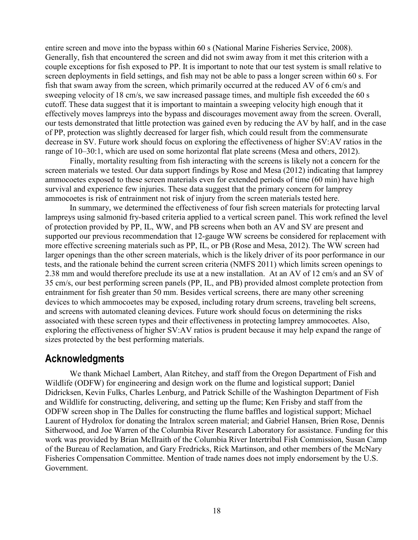entire screen and move into the bypass within 60 s (National Marine Fisheries Service, 2008). Generally, fish that encountered the screen and did not swim away from it met this criterion with a couple exceptions for fish exposed to PP. It is important to note that our test system is small relative to screen deployments in field settings, and fish may not be able to pass a longer screen within 60 s. For fish that swam away from the screen, which primarily occurred at the reduced AV of 6 cm/s and sweeping velocity of 18 cm/s, we saw increased passage times, and multiple fish exceeded the 60 s cutoff. These data suggest that it is important to maintain a sweeping velocity high enough that it effectively moves lampreys into the bypass and discourages movement away from the screen. Overall, our tests demonstrated that little protection was gained even by reducing the AV by half, and in the case of PP, protection was slightly decreased for larger fish, which could result from the commensurate decrease in SV. Future work should focus on exploring the effectiveness of higher SV:AV ratios in the range of 10–30:1, which are used on some horizontal flat plate screens (Mesa and others, 2012).

Finally, mortality resulting from fish interacting with the screens is likely not a concern for the screen materials we tested. Our data support findings by Rose and Mesa (2012) indicating that lamprey ammocoetes exposed to these screen materials even for extended periods of time (60 min) have high survival and experience few injuries. These data suggest that the primary concern for lamprey ammocoetes is risk of entrainment not risk of injury from the screen materials tested here.

In summary, we determined the effectiveness of four fish screen materials for protecting larval lampreys using salmonid fry-based criteria applied to a vertical screen panel. This work refined the level of protection provided by PP, IL, WW, and PB screens when both an AV and SV are present and supported our previous recommendation that 12-gauge WW screens be considered for replacement with more effective screening materials such as PP, IL, or PB (Rose and Mesa, 2012). The WW screen had larger openings than the other screen materials, which is the likely driver of its poor performance in our tests, and the rationale behind the current screen criteria (NMFS 2011) which limits screen openings to 2.38 mm and would therefore preclude its use at a new installation. At an AV of 12 cm/s and an SV of 35 cm/s, our best performing screen panels (PP, IL, and PB) provided almost complete protection from entrainment for fish greater than 50 mm. Besides vertical screens, there are many other screening devices to which ammocoetes may be exposed, including rotary drum screens, traveling belt screens, and screens with automated cleaning devices. Future work should focus on determining the risks associated with these screen types and their effectiveness in protecting lamprey ammocoetes. Also, exploring the effectiveness of higher SV:AV ratios is prudent because it may help expand the range of sizes protected by the best performing materials.

### **Acknowledgments**

We thank Michael Lambert, Alan Ritchey, and staff from the Oregon Department of Fish and Wildlife (ODFW) for engineering and design work on the flume and logistical support; Daniel Didricksen, Kevin Fulks, Charles Lenburg, and Patrick Schille of the Washington Department of Fish and Wildlife for constructing, delivering, and setting up the flume; Ken Frisby and staff from the ODFW screen shop in The Dalles for constructing the flume baffles and logistical support; Michael Laurent of Hydrolox for donating the Intralox screen material; and Gabriel Hansen, Brien Rose, Dennis Sitherwood, and Joe Warren of the Columbia River Research Laboratory for assistance. Funding for this work was provided by Brian McIlraith of the Columbia River Intertribal Fish Commission, Susan Camp of the Bureau of Reclamation, and Gary Fredricks, Rick Martinson, and other members of the McNary Fisheries Compensation Committee. Mention of trade names does not imply endorsement by the U.S. Government.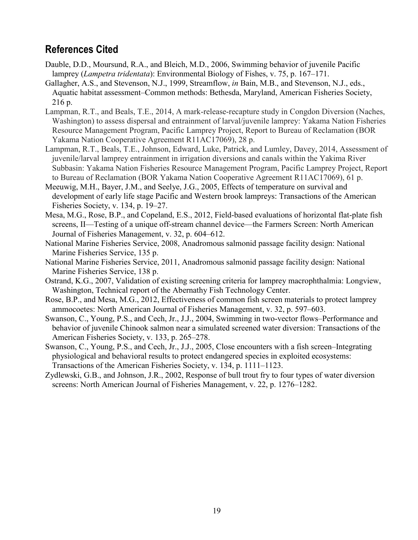### **References Cited**

- Dauble, D.D., Moursund, R.A., and Bleich, M.D., 2006, Swimming behavior of juvenile Pacific lamprey (*Lampetra tridentata*): Environmental Biology of Fishes, v. 75, p. 167–171.
- Gallagher, A.S., and Stevenson, N.J., 1999, Streamflow, *in* Bain, M.B., and Stevenson, N.J., eds., Aquatic habitat assessment–Common methods: Bethesda, Maryland, American Fisheries Society, 216 p.
- Lampman, R.T., and Beals, T.E., 2014, A mark-release-recapture study in Congdon Diversion (Naches, Washington) to assess dispersal and entrainment of larval/juvenile lamprey: Yakama Nation Fisheries Resource Management Program, Pacific Lamprey Project, Report to Bureau of Reclamation (BOR Yakama Nation Cooperative Agreement R11AC17069), 28 p.
- Lampman, R.T., Beals, T.E., Johnson, Edward, Luke, Patrick, and Lumley, Davey, 2014, Assessment of juvenile/larval lamprey entrainment in irrigation diversions and canals within the Yakima River Subbasin: Yakama Nation Fisheries Resource Management Program, Pacific Lamprey Project, Report to Bureau of Reclamation (BOR Yakama Nation Cooperative Agreement R11AC17069), 61 p.
- Meeuwig, M.H., Bayer, J.M., and Seelye, J.G., 2005, Effects of temperature on survival and development of early life stage Pacific and Western brook lampreys: Transactions of the American Fisheries Society, v. 134, p. 19–27.
- Mesa, M.G., Rose, B.P., and Copeland, E.S., 2012, Field-based evaluations of horizontal flat-plate fish screens, II—Testing of a unique off-stream channel device—the Farmers Screen: North American Journal of Fisheries Management, v. 32, p. 604–612.
- National Marine Fisheries Service, 2008, Anadromous salmonid passage facility design: National Marine Fisheries Service, 135 p.
- National Marine Fisheries Service, 2011, Anadromous salmonid passage facility design: National Marine Fisheries Service, 138 p.
- Ostrand, K.G., 2007, Validation of existing screening criteria for lamprey macrophthalmia: Longview, Washington, Technical report of the Abernathy Fish Technology Center.
- Rose, B.P., and Mesa, M.G., 2012, Effectiveness of common fish screen materials to protect lamprey ammocoetes: North American Journal of Fisheries Management, v. 32, p. 597–603.
- Swanson, C., Young, P.S., and Cech, Jr., J.J., 2004, Swimming in two-vector flows–Performance and behavior of juvenile Chinook salmon near a simulated screened water diversion: Transactions of the American Fisheries Society, v. 133, p. 265–278.
- Swanson, C., Young, P.S., and Cech, Jr., J.J., 2005, Close encounters with a fish screen–Integrating physiological and behavioral results to protect endangered species in exploited ecosystems: Transactions of the American Fisheries Society, v. 134, p. 1111–1123.
- Zydlewski, G.B., and Johnson, J.R., 2002, Response of bull trout fry to four types of water diversion screens: North American Journal of Fisheries Management, v. 22, p. 1276–1282.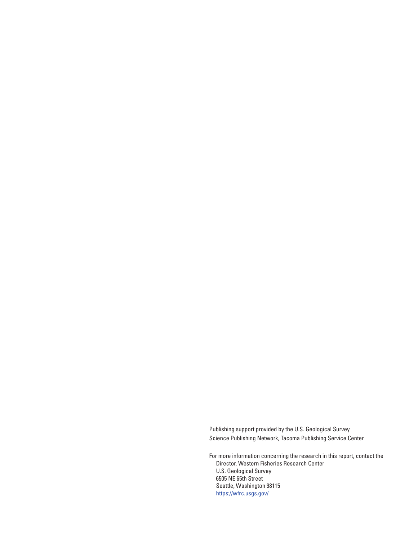Publishing support provided by the U.S. Geological Survey Science Publishing Network, Tacoma Publishing Service Center

For more information concerning the research in this report, contact the Director, Western Fisheries Research Center U.S. Geological Survey 6505 NE 65th Street Seattle, Washington 98115 https[://wfrc.usgs.gov/](https://wfrc.usgs.gov/)